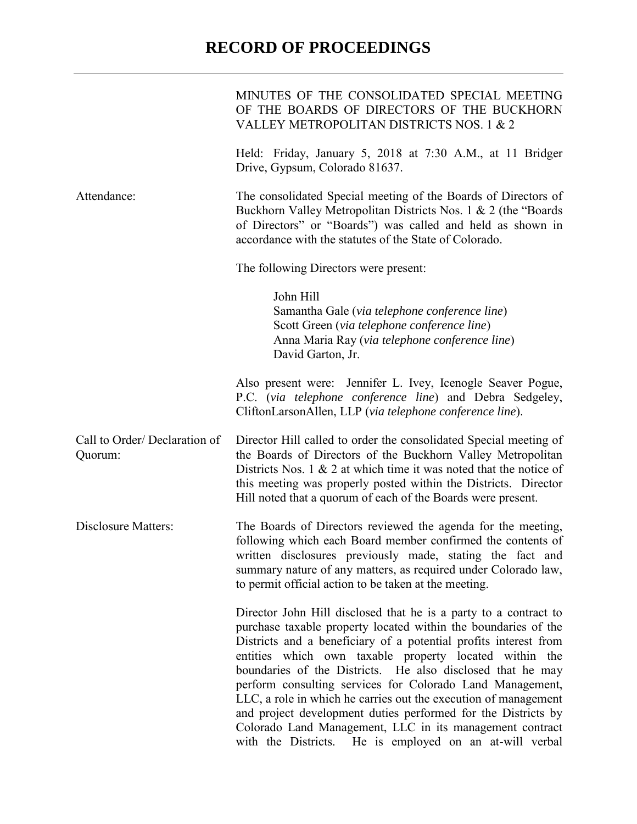## **RECORD OF PROCEEDINGS**

|                                         | MINUTES OF THE CONSOLIDATED SPECIAL MEETING<br>OF THE BOARDS OF DIRECTORS OF THE BUCKHORN<br>VALLEY METROPOLITAN DISTRICTS NOS. 1 & 2                                                                                                                                                                                                                                                                                                                                                                                                                                                                                                                     |
|-----------------------------------------|-----------------------------------------------------------------------------------------------------------------------------------------------------------------------------------------------------------------------------------------------------------------------------------------------------------------------------------------------------------------------------------------------------------------------------------------------------------------------------------------------------------------------------------------------------------------------------------------------------------------------------------------------------------|
|                                         | Held: Friday, January 5, 2018 at 7:30 A.M., at 11 Bridger<br>Drive, Gypsum, Colorado 81637.                                                                                                                                                                                                                                                                                                                                                                                                                                                                                                                                                               |
| Attendance:                             | The consolidated Special meeting of the Boards of Directors of<br>Buckhorn Valley Metropolitan Districts Nos. 1 & 2 (the "Boards"<br>of Directors" or "Boards") was called and held as shown in<br>accordance with the statutes of the State of Colorado.                                                                                                                                                                                                                                                                                                                                                                                                 |
|                                         | The following Directors were present:                                                                                                                                                                                                                                                                                                                                                                                                                                                                                                                                                                                                                     |
|                                         | John Hill<br>Samantha Gale (via telephone conference line)<br>Scott Green (via telephone conference line)<br>Anna Maria Ray (via telephone conference line)<br>David Garton, Jr.                                                                                                                                                                                                                                                                                                                                                                                                                                                                          |
|                                         | Also present were: Jennifer L. Ivey, Icenogle Seaver Pogue,<br>P.C. (via telephone conference line) and Debra Sedgeley,<br>CliftonLarsonAllen, LLP (via telephone conference line).                                                                                                                                                                                                                                                                                                                                                                                                                                                                       |
| Call to Order/Declaration of<br>Quorum: | Director Hill called to order the consolidated Special meeting of<br>the Boards of Directors of the Buckhorn Valley Metropolitan<br>Districts Nos. 1 $\&$ 2 at which time it was noted that the notice of<br>this meeting was properly posted within the Districts. Director<br>Hill noted that a quorum of each of the Boards were present.                                                                                                                                                                                                                                                                                                              |
| <b>Disclosure Matters:</b>              | The Boards of Directors reviewed the agenda for the meeting,<br>following which each Board member confirmed the contents of<br>written disclosures previously made, stating the fact and<br>summary nature of any matters, as required under Colorado law,<br>to permit official action to be taken at the meeting.                                                                                                                                                                                                                                                                                                                                       |
|                                         | Director John Hill disclosed that he is a party to a contract to<br>purchase taxable property located within the boundaries of the<br>Districts and a beneficiary of a potential profits interest from<br>entities which own taxable property located within the<br>boundaries of the Districts. He also disclosed that he may<br>perform consulting services for Colorado Land Management,<br>LLC, a role in which he carries out the execution of management<br>and project development duties performed for the Districts by<br>Colorado Land Management, LLC in its management contract<br>with the Districts.<br>He is employed on an at-will verbal |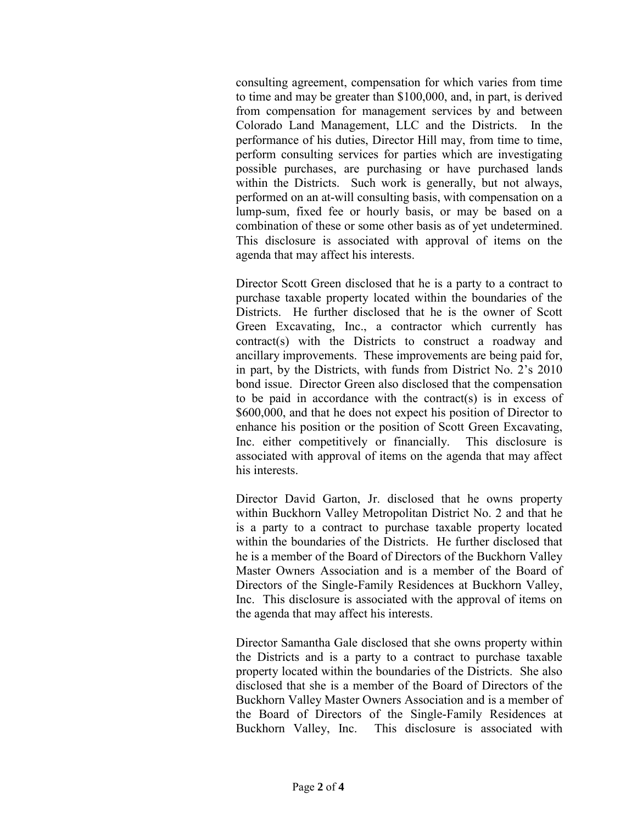consulting agreement, compensation for which varies from time to time and may be greater than \$100,000, and, in part, is derived from compensation for management services by and between Colorado Land Management, LLC and the Districts. In the performance of his duties, Director Hill may, from time to time, perform consulting services for parties which are investigating possible purchases, are purchasing or have purchased lands within the Districts. Such work is generally, but not always, performed on an at-will consulting basis, with compensation on a lump-sum, fixed fee or hourly basis, or may be based on a combination of these or some other basis as of yet undetermined. This disclosure is associated with approval of items on the agenda that may affect his interests.

Director Scott Green disclosed that he is a party to a contract to purchase taxable property located within the boundaries of the Districts. He further disclosed that he is the owner of Scott Green Excavating, Inc., a contractor which currently has contract(s) with the Districts to construct a roadway and ancillary improvements. These improvements are being paid for, in part, by the Districts, with funds from District No. 2's 2010 bond issue. Director Green also disclosed that the compensation to be paid in accordance with the contract(s) is in excess of \$600,000, and that he does not expect his position of Director to enhance his position or the position of Scott Green Excavating, Inc. either competitively or financially. This disclosure is associated with approval of items on the agenda that may affect his interests.

Director David Garton, Jr. disclosed that he owns property within Buckhorn Valley Metropolitan District No. 2 and that he is a party to a contract to purchase taxable property located within the boundaries of the Districts. He further disclosed that he is a member of the Board of Directors of the Buckhorn Valley Master Owners Association and is a member of the Board of Directors of the Single-Family Residences at Buckhorn Valley, Inc. This disclosure is associated with the approval of items on the agenda that may affect his interests.

Director Samantha Gale disclosed that she owns property within the Districts and is a party to a contract to purchase taxable property located within the boundaries of the Districts. She also disclosed that she is a member of the Board of Directors of the Buckhorn Valley Master Owners Association and is a member of the Board of Directors of the Single-Family Residences at Buckhorn Valley, Inc. This disclosure is associated with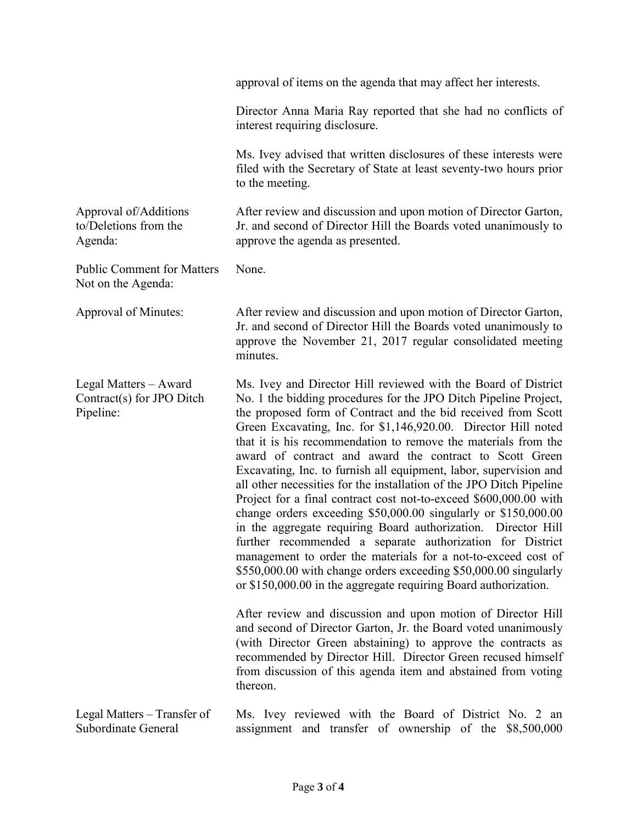|                                                                 | approval of items on the agenda that may affect her interests.                                                                                                                                                                                                                                                                                                                                                                                                                                                                                                                                                                                                                                                                                                                                                                                                                                                                                                                                                                                                                                                                                                                                                                 |
|-----------------------------------------------------------------|--------------------------------------------------------------------------------------------------------------------------------------------------------------------------------------------------------------------------------------------------------------------------------------------------------------------------------------------------------------------------------------------------------------------------------------------------------------------------------------------------------------------------------------------------------------------------------------------------------------------------------------------------------------------------------------------------------------------------------------------------------------------------------------------------------------------------------------------------------------------------------------------------------------------------------------------------------------------------------------------------------------------------------------------------------------------------------------------------------------------------------------------------------------------------------------------------------------------------------|
|                                                                 | Director Anna Maria Ray reported that she had no conflicts of<br>interest requiring disclosure.                                                                                                                                                                                                                                                                                                                                                                                                                                                                                                                                                                                                                                                                                                                                                                                                                                                                                                                                                                                                                                                                                                                                |
|                                                                 | Ms. Ivey advised that written disclosures of these interests were<br>filed with the Secretary of State at least seventy-two hours prior<br>to the meeting.                                                                                                                                                                                                                                                                                                                                                                                                                                                                                                                                                                                                                                                                                                                                                                                                                                                                                                                                                                                                                                                                     |
| Approval of/Additions<br>to/Deletions from the<br>Agenda:       | After review and discussion and upon motion of Director Garton,<br>Jr. and second of Director Hill the Boards voted unanimously to<br>approve the agenda as presented.                                                                                                                                                                                                                                                                                                                                                                                                                                                                                                                                                                                                                                                                                                                                                                                                                                                                                                                                                                                                                                                         |
| <b>Public Comment for Matters</b><br>Not on the Agenda:         | None.                                                                                                                                                                                                                                                                                                                                                                                                                                                                                                                                                                                                                                                                                                                                                                                                                                                                                                                                                                                                                                                                                                                                                                                                                          |
| Approval of Minutes:                                            | After review and discussion and upon motion of Director Garton,<br>Jr. and second of Director Hill the Boards voted unanimously to<br>approve the November 21, 2017 regular consolidated meeting<br>minutes.                                                                                                                                                                                                                                                                                                                                                                                                                                                                                                                                                                                                                                                                                                                                                                                                                                                                                                                                                                                                                   |
| Legal Matters - Award<br>Contract(s) for JPO Ditch<br>Pipeline: | Ms. Ivey and Director Hill reviewed with the Board of District<br>No. 1 the bidding procedures for the JPO Ditch Pipeline Project,<br>the proposed form of Contract and the bid received from Scott<br>Green Excavating, Inc. for \$1,146,920.00. Director Hill noted<br>that it is his recommendation to remove the materials from the<br>award of contract and award the contract to Scott Green<br>Excavating, Inc. to furnish all equipment, labor, supervision and<br>all other necessities for the installation of the JPO Ditch Pipeline<br>Project for a final contract cost not-to-exceed \$600,000.00 with<br>change orders exceeding \$50,000.00 singularly or \$150,000.00<br>in the aggregate requiring Board authorization. Director Hill<br>further recommended a separate authorization for District<br>management to order the materials for a not-to-exceed cost of<br>\$550,000.00 with change orders exceeding \$50,000.00 singularly<br>or \$150,000.00 in the aggregate requiring Board authorization.<br>After review and discussion and upon motion of Director Hill<br>and second of Director Garton, Jr. the Board voted unanimously<br>(with Director Green abstaining) to approve the contracts as |
|                                                                 | recommended by Director Hill. Director Green recused himself<br>from discussion of this agenda item and abstained from voting<br>thereon.                                                                                                                                                                                                                                                                                                                                                                                                                                                                                                                                                                                                                                                                                                                                                                                                                                                                                                                                                                                                                                                                                      |
| Legal Matters – Transfer of<br>Subordinate General              | Ms. Ivey reviewed with the Board of District No. 2 an<br>assignment and transfer of ownership of the \$8,500,000                                                                                                                                                                                                                                                                                                                                                                                                                                                                                                                                                                                                                                                                                                                                                                                                                                                                                                                                                                                                                                                                                                               |